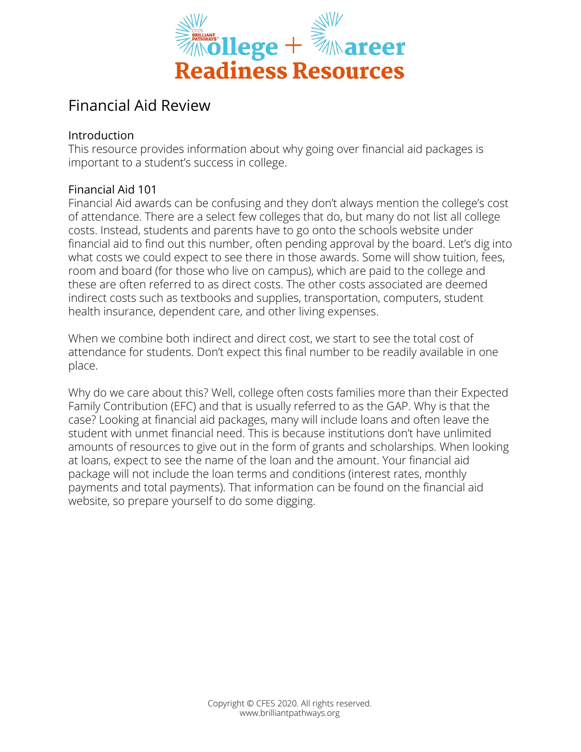

# Financial Aid Review

## Introduction

This resource provides information about why going over financial aid packages is important to a student's success in college.

#### Financial Aid 101

Financial Aid awards can be confusing and they don't always mention the college's cost of attendance. There are a select few colleges that do, but many do not list all college costs. Instead, students and parents have to go onto the schools website under financial aid to find out this number, often pending approval by the board. Let's dig into what costs we could expect to see there in those awards. Some will show tuition, fees, room and board (for those who live on campus), which are paid to the college and these are often referred to as direct costs. The other costs associated are deemed indirect costs such as textbooks and supplies, transportation, computers, student health insurance, dependent care, and other living expenses.

When we combine both indirect and direct cost, we start to see the total cost of attendance for students. Don't expect this final number to be readily available in one place.

Why do we care about this? Well, college often costs families more than their Expected Family Contribution (EFC) and that is usually referred to as the GAP. Why is that the case? Looking at financial aid packages, many will include loans and often leave the student with unmet financial need. This is because institutions don't have unlimited amounts of resources to give out in the form of grants and scholarships. When looking at loans, expect to see the name of the loan and the amount. Your financial aid package will not include the loan terms and conditions (interest rates, monthly payments and total payments). That information can be found on the financial aid website, so prepare yourself to do some digging.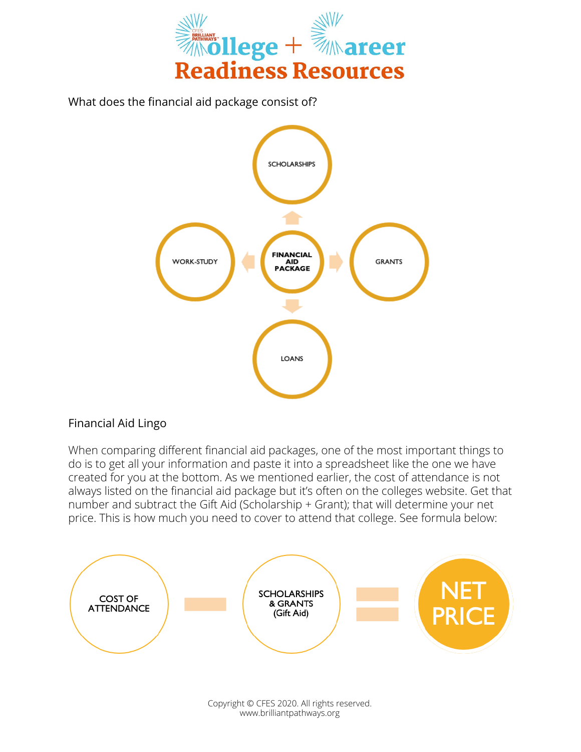

What does the financial aid package consist of?



# Financial Aid Lingo

When comparing different financial aid packages, one of the most important things to do is to get all your information and paste it into a spreadsheet like the one we have created for you at the bottom. As we mentioned earlier, the cost of attendance is not always listed on the financial aid package but it's often on the colleges website. Get that number and subtract the Gift Aid (Scholarship + Grant); that will determine your net price. This is how much you need to cover to attend that college. See formula below: